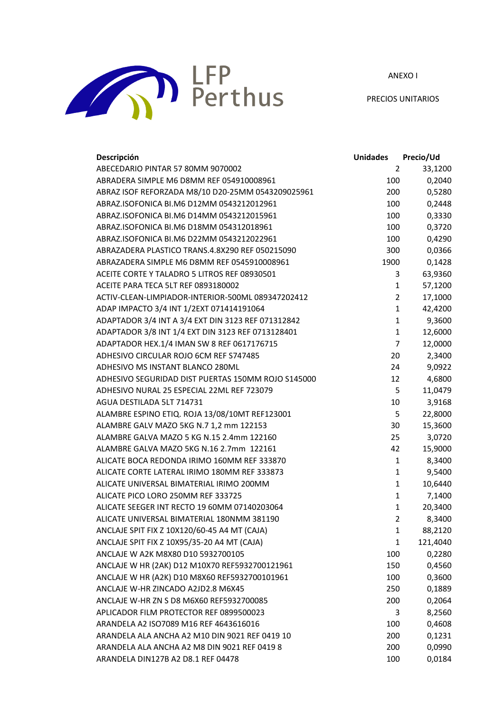ANEXO I



PRECIOS UNITARIOS

| Descripción                                        | <b>Unidades</b> | Precio/Ud |
|----------------------------------------------------|-----------------|-----------|
| ABECEDARIO PINTAR 57 80MM 9070002                  | 2               | 33,1200   |
| ABRADERA SIMPLE M6 D8MM REF 054910008961           | 100             | 0,2040    |
| ABRAZ ISOF REFORZADA M8/10 D20-25MM 0543209025961  | 200             | 0,5280    |
| ABRAZ.ISOFONICA BI.M6 D12MM 0543212012961          | 100             | 0,2448    |
| ABRAZ.ISOFONICA BI.M6 D14MM 0543212015961          | 100             | 0,3330    |
| ABRAZ.ISOFONICA BI.M6 D18MM 054312018961           | 100             | 0,3720    |
| ABRAZ.ISOFONICA BI.M6 D22MM 0543212022961          | 100             | 0,4290    |
| ABRAZADERA PLASTICO TRANS.4.8X290 REF 050215090    | 300             | 0,0366    |
| ABRAZADERA SIMPLE M6 D8MM REF 0545910008961        | 1900            | 0,1428    |
| ACEITE CORTE Y TALADRO 5 LITROS REF 08930501       | 3               | 63,9360   |
| ACEITE PARA TECA 5LT REF 0893180002                | 1               | 57,1200   |
| ACTIV-CLEAN-LIMPIADOR-INTERIOR-500ML 089347202412  | $\overline{2}$  | 17,1000   |
| ADAP IMPACTO 3/4 INT 1/2EXT 071414191064           | $\mathbf{1}$    | 42,4200   |
| ADAPTADOR 3/4 INT A 3/4 EXT DIN 3123 REF 071312842 | $\mathbf{1}$    | 9,3600    |
| ADAPTADOR 3/8 INT 1/4 EXT DIN 3123 REF 0713128401  | $\mathbf{1}$    | 12,6000   |
| ADAPTADOR HEX.1/4 IMAN SW 8 REF 0617176715         | $\overline{7}$  | 12,0000   |
| ADHESIVO CIRCULAR ROJO 6CM REF S747485             | 20              | 2,3400    |
| ADHESIVO MS INSTANT BLANCO 280ML                   | 24              | 9,0922    |
| ADHESIVO SEGURIDAD DIST PUERTAS 150MM ROJO S145000 | 12              | 4,6800    |
| ADHESIVO NURAL 25 ESPECIAL 22ML REF 723079         | 5               | 11,0479   |
| AGUA DESTILADA 5LT 714731                          | 10              | 3,9168    |
| ALAMBRE ESPINO ETIQ. ROJA 13/08/10MT REF123001     | 5               | 22,8000   |
| ALAMBRE GALV MAZO 5KG N.7 1,2 mm 122153            | 30              | 15,3600   |
| ALAMBRE GALVA MAZO 5 KG N.15 2.4mm 122160          | 25              | 3,0720    |
| ALAMBRE GALVA MAZO 5KG N.16 2.7mm 122161           | 42              | 15,9000   |
| ALICATE BOCA REDONDA IRIMO 160MM REF 333870        | $\mathbf{1}$    | 8,3400    |
| ALICATE CORTE LATERAL IRIMO 180MM REF 333873       | $\mathbf{1}$    | 9,5400    |
| ALICATE UNIVERSAL BIMATERIAL IRIMO 200MM           | $\mathbf{1}$    | 10,6440   |
| ALICATE PICO LORO 250MM REF 333725                 | $\mathbf{1}$    | 7,1400    |
| ALICATE SEEGER INT RECTO 19 60MM 07140203064       | $\mathbf{1}$    | 20,3400   |
| ALICATE UNIVERSAL BIMATERIAL 180NMM 381190         | $\overline{2}$  | 8,3400    |
| ANCLAJE SPIT FIX Z 10X120/60-45 A4 MT (CAJA)       | $\mathbf{1}$    | 88,2120   |
| ANCLAJE SPIT FIX Z 10X95/35-20 A4 MT (CAJA)        | 1               | 121,4040  |
| ANCLAJE W A2K M8X80 D10 5932700105                 | 100             | 0,2280    |
| ANCLAJE W HR (2AK) D12 M10X70 REF5932700121961     | 150             | 0,4560    |
| ANCLAJE W HR (A2K) D10 M8X60 REF5932700101961      | 100             | 0,3600    |
| ANCLAJE W-HR ZINCADO A2JD2.8 M6X45                 | 250             | 0,1889    |
| ANCLAJE W-HR ZN S D8 M6X60 REF5932700085           | 200             | 0,2064    |
| APLICADOR FILM PROTECTOR REF 0899500023            | 3               | 8,2560    |
| ARANDELA A2 ISO7089 M16 REF 4643616016             | 100             | 0,4608    |
| ARANDELA ALA ANCHA A2 M10 DIN 9021 REF 0419 10     | 200             | 0,1231    |
| ARANDELA ALA ANCHA A2 M8 DIN 9021 REF 0419 8       | 200             | 0,0990    |
| ARANDELA DIN127B A2 D8.1 REF 04478                 | 100             | 0,0184    |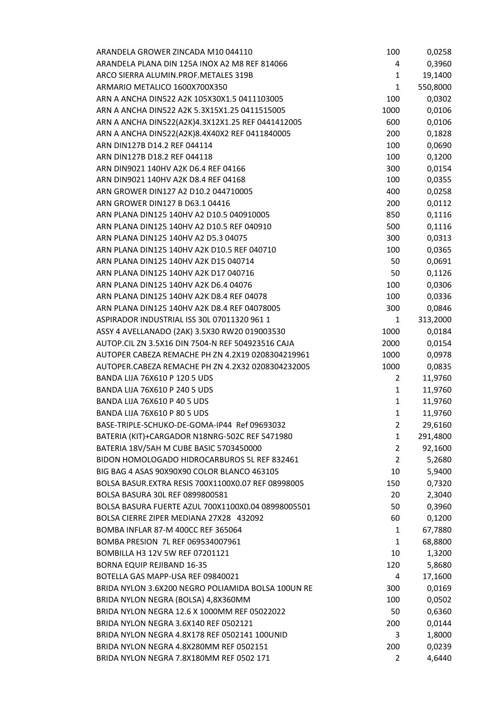| ARANDELA GROWER ZINCADA M10 044110                 | 100          | 0,0258   |
|----------------------------------------------------|--------------|----------|
| ARANDELA PLANA DIN 125A INOX A2 M8 REF 814066      | 4            | 0,3960   |
| ARCO SIERRA ALUMIN.PROF.METALES 319B               | 1            | 19,1400  |
| ARMARIO METALICO 1600X700X350                      | 1            | 550,8000 |
| ARN A ANCHA DIN522 A2K 105X30X1.5 0411103005       | 100          | 0,0302   |
| ARN A ANCHA DIN522 A2K 5.3X15X1.25 0411515005      | 1000         | 0,0106   |
| ARN A ANCHA DIN522(A2K)4.3X12X1.25 REF 0441412005  | 600          | 0,0106   |
| ARN A ANCHA DIN522(A2K)8.4X40X2 REF 0411840005     | 200          | 0,1828   |
| ARN DIN127B D14.2 REF 044114                       | 100          | 0,0690   |
| ARN DIN127B D18.2 REF 044118                       | 100          | 0,1200   |
| ARN DIN9021 140HV A2K D6.4 REF 04166               | 300          | 0,0154   |
| ARN DIN9021 140HV A2K D8.4 REF 04168               | 100          | 0,0355   |
| ARN GROWER DIN127 A2 D10.2 044710005               | 400          | 0,0258   |
| ARN GROWER DIN127 B D63.1 04416                    | 200          | 0,0112   |
| ARN PLANA DIN125 140HV A2 D10.5 040910005          | 850          | 0,1116   |
| ARN PLANA DIN125 140HV A2 D10.5 REF 040910         | 500          | 0,1116   |
| ARN PLANA DIN125 140HV A2 D5.3 04075               | 300          | 0,0313   |
| ARN PLANA DIN125 140HV A2K D10.5 REF 040710        | 100          | 0,0365   |
| ARN PLANA DIN125 140HV A2K D15 040714              |              |          |
|                                                    | 50           | 0,0691   |
| ARN PLANA DIN125 140HV A2K D17 040716              | 50           | 0,1126   |
| ARN PLANA DIN125 140HV A2K D6.4 04076              | 100          | 0,0306   |
| ARN PLANA DIN125 140HV A2K D8.4 REF 04078          | 100          | 0,0336   |
| ARN PLANA DIN125 140HV A2K D8.4 REF 04078005       | 300          | 0,0846   |
| ASPIRADOR INDUSTRIAL ISS 30L 07011320 961 1        | 1            | 313,2000 |
| ASSY 4 AVELLANADO (2AK) 3.5X30 RW20 019003530      | 1000         | 0,0184   |
| AUTOP.CIL ZN 3.5X16 DIN 7504-N REF 504923516 CAJA  | 2000         | 0,0154   |
| AUTOPER CABEZA REMACHE PH ZN 4.2X19 0208304219961  | 1000         | 0,0978   |
| AUTOPER.CABEZA REMACHE PH ZN 4.2X32 0208304232005  | 1000         | 0,0835   |
| <b>BANDA LIJA 76X610 P 120 5 UDS</b>               | 2            | 11,9760  |
| <b>BANDA LIJA 76X610 P 240 5 UDS</b>               | 1            | 11,9760  |
| <b>BANDA LIJA 76X610 P 40 5 UDS</b>                | 1            | 11,9760  |
| BANDA LIJA 76X610 P 80 5 UDS                       | $\mathbf{1}$ | 11,9760  |
| BASE-TRIPLE-SCHUKO-DE-GOMA-IP44 Ref 09693032       | 2            | 29,6160  |
| BATERIA (KIT)+CARGADOR N18NRG-502C REF S471980     | 1            | 291,4800 |
| BATERIA 18V/5AH M CUBE BASIC 5703450000            | 2            | 92,1600  |
| BIDON HOMOLOGADO HIDROCARBUROS 5L REF 832461       | 2            | 5,2680   |
| BIG BAG 4 ASAS 90X90X90 COLOR BLANCO 463105        | 10           | 5,9400   |
| BOLSA BASUR.EXTRA RESIS 700X1100X0.07 REF 08998005 | 150          | 0,7320   |
| BOLSA BASURA 30L REF 0899800581                    | 20           | 2,3040   |
| BOLSA BASURA FUERTE AZUL 700X1100X0.04 08998005501 | 50           | 0,3960   |
| BOLSA CIERRE ZIPER MEDIANA 27X28 432092            | 60           | 0,1200   |
| BOMBA INFLAR 87-M 400CC REF 365064                 | 1            | 67,7880  |
| BOMBA PRESION 7L REF 069534007961                  | 1            | 68,8800  |
| BOMBILLA H3 12V 5W REF 07201121                    | 10           | 1,3200   |
| <b>BORNA EQUIP REJIBAND 16-35</b>                  | 120          | 5,8680   |
| BOTELLA GAS MAPP-USA REF 09840021                  | 4            | 17,1600  |
| BRIDA NYLON 3.6X200 NEGRO POLIAMIDA BOLSA 100UN RE | 300          | 0,0169   |
| BRIDA NYLON NEGRA (BOLSA) 4,8X360MM                | 100          | 0,0502   |
| BRIDA NYLON NEGRA 12.6 X 1000MM REF 05022022       | 50           | 0,6360   |
| BRIDA NYLON NEGRA 3.6X140 REF 0502121              | 200          | 0,0144   |
| BRIDA NYLON NEGRA 4.8X178 REF 0502141 100UNID      | 3            | 1,8000   |
| BRIDA NYLON NEGRA 4.8X280MM REF 0502151            | 200          | 0,0239   |
| BRIDA NYLON NEGRA 7.8X180MM REF 0502 171           | 2            | 4,6440   |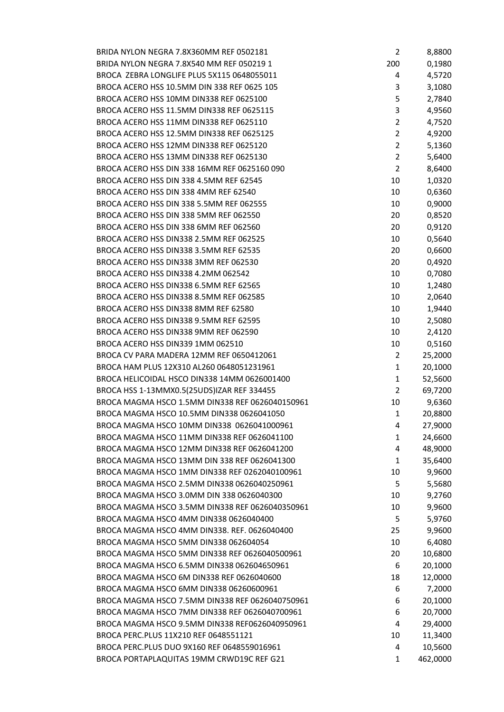| BRIDA NYLON NEGRA 7.8X360MM REF 0502181         | 2              | 8,8800   |
|-------------------------------------------------|----------------|----------|
| BRIDA NYLON NEGRA 7.8X540 MM REF 050219 1       | 200            | 0,1980   |
| BROCA ZEBRA LONGLIFE PLUS 5X115 0648055011      | 4              | 4,5720   |
| BROCA ACERO HSS 10.5MM DIN 338 REF 0625 105     | 3              | 3,1080   |
| BROCA ACERO HSS 10MM DIN338 REF 0625100         | 5              | 2,7840   |
| BROCA ACERO HSS 11.5MM DIN338 REF 0625115       | 3              | 4,9560   |
| BROCA ACERO HSS 11MM DIN338 REF 0625110         | $\overline{2}$ | 4,7520   |
| BROCA ACERO HSS 12.5MM DIN338 REF 0625125       | $\overline{2}$ | 4,9200   |
| BROCA ACERO HSS 12MM DIN338 REF 0625120         | $\overline{2}$ | 5,1360   |
| BROCA ACERO HSS 13MM DIN338 REF 0625130         | $\overline{2}$ | 5,6400   |
| BROCA ACERO HSS DIN 338 16MM REF 0625160 090    | 2              | 8,6400   |
| BROCA ACERO HSS DIN 338 4.5MM REF 62545         | 10             | 1,0320   |
| BROCA ACERO HSS DIN 338 4MM REF 62540           | 10             | 0,6360   |
|                                                 |                |          |
| BROCA ACERO HSS DIN 338 5.5MM REF 062555        | 10             | 0,9000   |
| BROCA ACERO HSS DIN 338 5MM REF 062550          | 20             | 0,8520   |
| BROCA ACERO HSS DIN 338 6MM REF 062560          | 20             | 0,9120   |
| BROCA ACERO HSS DIN338 2.5MM REF 062525         | 10             | 0,5640   |
| BROCA ACERO HSS DIN338 3.5MM REF 62535          | 20             | 0,6600   |
| BROCA ACERO HSS DIN338 3MM REF 062530           | 20             | 0,4920   |
| BROCA ACERO HSS DIN338 4.2MM 062542             | 10             | 0,7080   |
| BROCA ACERO HSS DIN338 6.5MM REF 62565          | 10             | 1,2480   |
| BROCA ACERO HSS DIN338 8.5MM REF 062585         | 10             | 2,0640   |
| BROCA ACERO HSS DIN338 8MM REF 62580            | 10             | 1,9440   |
| BROCA ACERO HSS DIN338 9.5MM REF 62595          | 10             | 2,5080   |
| BROCA ACERO HSS DIN338 9MM REF 062590           | 10             | 2,4120   |
| BROCA ACERO HSS DIN339 1MM 062510               | 10             | 0,5160   |
| BROCA CV PARA MADERA 12MM REF 0650412061        | 2              | 25,2000  |
| BROCA HAM PLUS 12X310 AL260 0648051231961       | 1              | 20,1000  |
| BROCA HELICOIDAL HSCO DIN338 14MM 0626001400    | 1              | 52,5600  |
| BROCA HSS 1-13MMX0.5(25UDS)IZAR REF 334455      | $\overline{2}$ | 69,7200  |
| BROCA MAGMA HSCO 1.5MM DIN338 REF 0626040150961 | 10             | 9,6360   |
| BROCA MAGMA HSCO 10.5MM DIN338 0626041050       | 1              | 20,8800  |
| BROCA MAGMA HSCO 10MM DIN338 0626041000961      | 4              | 27,9000  |
| BROCA MAGMA HSCO 11MM DIN338 REF 0626041100     | 1              | 24,6600  |
| BROCA MAGMA HSCO 12MM DIN338 REF 0626041200     | 4              | 48,9000  |
| BROCA MAGMA HSCO 13MM DIN 338 REF 0626041300    | 1              | 35,6400  |
| BROCA MAGMA HSCO 1MM DIN338 REF 0262040100961   | 10             | 9,9600   |
| BROCA MAGMA HSCO 2.5MM DIN338 0626040250961     | 5              | 5,5680   |
| BROCA MAGMA HSCO 3.0MM DIN 338 0626040300       | 10             | 9,2760   |
| BROCA MAGMA HSCO 3.5MM DIN338 REF 0626040350961 | 10             | 9,9600   |
| BROCA MAGMA HSCO 4MM DIN338 0626040400          | 5              | 5,9760   |
| BROCA MAGMA HSCO 4MM DIN338. REF. 0626040400    | 25             | 9,9600   |
| BROCA MAGMA HSCO 5MM DIN338 062604054           | 10             | 6,4080   |
| BROCA MAGMA HSCO 5MM DIN338 REF 0626040500961   | 20             | 10,6800  |
| BROCA MAGMA HSCO 6.5MM DIN338 062604650961      | 6              | 20,1000  |
| BROCA MAGMA HSCO 6M DIN338 REF 0626040600       | 18             | 12,0000  |
| BROCA MAGMA HSCO 6MM DIN338 06260600961         | 6              | 7,2000   |
| BROCA MAGMA HSCO 7.5MM DIN338 REF 0626040750961 | 6              | 20,1000  |
| BROCA MAGMA HSCO 7MM DIN338 REF 0626040700961   | 6              |          |
| BROCA MAGMA HSCO 9.5MM DIN338 REF0626040950961  |                | 20,7000  |
|                                                 | 4              | 29,4000  |
| BROCA PERC.PLUS 11X210 REF 0648551121           | 10             | 11,3400  |
| BROCA PERC.PLUS DUO 9X160 REF 0648559016961     | 4              | 10,5600  |
| BROCA PORTAPLAQUITAS 19MM CRWD19C REF G21       | 1              | 462,0000 |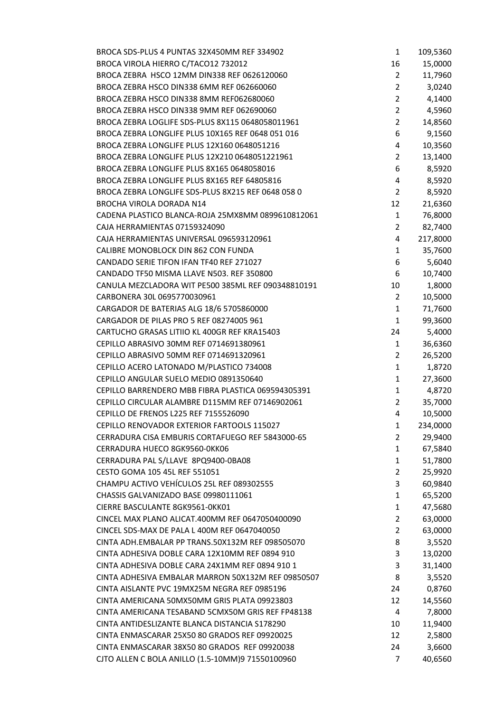| BROCA SDS-PLUS 4 PUNTAS 32X450MM REF 334902        | $\mathbf{1}$   | 109,5360 |
|----------------------------------------------------|----------------|----------|
| BROCA VIROLA HIERRO C/TACO12 732012                | 16             | 15,0000  |
| BROCA ZEBRA HSCO 12MM DIN338 REF 0626120060        | $\overline{2}$ | 11,7960  |
| BROCA ZEBRA HSCO DIN338 6MM REF 062660060          | $\overline{2}$ | 3,0240   |
| BROCA ZEBRA HSCO DIN338 8MM REF062680060           | $\overline{2}$ | 4,1400   |
| BROCA ZEBRA HSCO DIN338 9MM REF 062690060          | $\overline{2}$ | 4,5960   |
| BROCA ZEBRA LOGLIFE SDS-PLUS 8X115 0648058011961   | $\overline{2}$ | 14,8560  |
| BROCA ZEBRA LONGLIFE PLUS 10X165 REF 0648 051 016  | 6              | 9,1560   |
| BROCA ZEBRA LONGLIFE PLUS 12X160 0648051216        | 4              | 10,3560  |
| BROCA ZEBRA LONGLIFE PLUS 12X210 0648051221961     | $\overline{2}$ | 13,1400  |
| BROCA ZEBRA LONGLIFE PLUS 8X165 0648058016         | 6              | 8,5920   |
| BROCA ZEBRA LONGLIFE PLUS 8X165 REF 64805816       | 4              | 8,5920   |
| BROCA ZEBRA LONGLIFE SDS-PLUS 8X215 REF 0648 058 0 | $\overline{2}$ | 8,5920   |
| <b>BROCHA VIROLA DORADA N14</b>                    | 12             | 21,6360  |
| CADENA PLASTICO BLANCA-ROJA 25MX8MM 0899610812061  | 1              | 76,8000  |
| CAJA HERRAMIENTAS 07159324090                      | 2              | 82,7400  |
| CAJA HERRAMIENTAS UNIVERSAL 096593120961           | 4              | 217,8000 |
| CALIBRE MONOBLOCK DIN 862 CON FUNDA                | $\mathbf{1}$   | 35,7600  |
| CANDADO SERIE TIFON IFAN TF40 REF 271027           | 6              | 5,6040   |
| CANDADO TF50 MISMA LLAVE N503. REF 350800          | 6              | 10,7400  |
| CANULA MEZCLADORA WIT PE500 385ML REF 090348810191 | 10             | 1,8000   |
| CARBONERA 30L 0695770030961                        | 2              | 10,5000  |
| CARGADOR DE BATERIAS ALG 18/6 5705860000           | $\mathbf{1}$   | 71,7600  |
| CARGADOR DE PILAS PRO 5 REF 08274005 961           | $\mathbf{1}$   | 99,3600  |
| CARTUCHO GRASAS LITIIO KL 400GR REF KRA15403       | 24             | 5,4000   |
| CEPILLO ABRASIVO 30MM REF 0714691380961            | $\mathbf{1}$   | 36,6360  |
| CEPILLO ABRASIVO 50MM REF 0714691320961            | $\overline{2}$ | 26,5200  |
| CEPILLO ACERO LATONADO M/PLASTICO 734008           | $\mathbf{1}$   | 1,8720   |
| CEPILLO ANGULAR SUELO MEDIO 0891350640             | 1              | 27,3600  |
| CEPILLO BARRENDERO MBB FIBRA PLASTICA 069594305391 | $\mathbf{1}$   | 4,8720   |
| CEPILLO CIRCULAR ALAMBRE D115MM REF 07146902061    | 2              | 35,7000  |
| CEPILLO DE FRENOS L225 REF 7155526090              | 4              | 10,5000  |
| CEPILLO RENOVADOR EXTERIOR FARTOOLS 115027         | $\mathbf{1}$   | 234,0000 |
| CERRADURA CISA EMBURIS CORTAFUEGO REF 5843000-65   | 2              | 29,9400  |
| CERRADURA HUECO 8GK9560-0KK06                      | $\mathbf{1}$   | 67,5840  |
| CERRADURA PAL S/LLAVE 8PQ9400-0BA08                | $\mathbf{1}$   | 51,7800  |
| CESTO GOMA 105 45L REF 551051                      | $\overline{2}$ | 25,9920  |
| CHAMPU ACTIVO VEHÍCULOS 25L REF 089302555          | 3              | 60,9840  |
| CHASSIS GALVANIZADO BASE 09980111061               | 1              | 65,5200  |
| CIERRE BASCULANTE 8GK9561-0KK01                    | 1              | 47,5680  |
| CINCEL MAX PLANO ALICAT.400MM REF 0647050400090    | 2              | 63,0000  |
| CINCEL SDS-MAX DE PALA L 400M REF 0647040050       | 2              | 63,0000  |
| CINTA ADH.EMBALAR PP TRANS.50X132M REF 098505070   | 8              | 3,5520   |
| CINTA ADHESIVA DOBLE CARA 12X10MM REF 0894 910     | 3              | 13,0200  |
| CINTA ADHESIVA DOBLE CARA 24X1MM REF 0894 910 1    | 3              | 31,1400  |
| CINTA ADHESIVA EMBALAR MARRON 50X132M REF 09850507 | 8              | 3,5520   |
| CINTA AISLANTE PVC 19MX25M NEGRA REF 0985196       | 24             | 0,8760   |
| CINTA AMERICANA 50MX50MM GRIS PLATA 09923803       | 12             | 14,5560  |
| CINTA AMERICANA TESABAND 5CMX50M GRIS REF FP48138  | 4              | 7,8000   |
| CINTA ANTIDESLIZANTE BLANCA DISTANCIA S178290      | 10             | 11,9400  |
| CINTA ENMASCARAR 25X50 80 GRADOS REF 09920025      | 12             | 2,5800   |
| CINTA ENMASCARAR 38X50 80 GRADOS REF 09920038      | 24             | 3,6600   |
| CJTO ALLEN C BOLA ANILLO (1.5-10MM)9 71550100960   | 7              | 40,6560  |
|                                                    |                |          |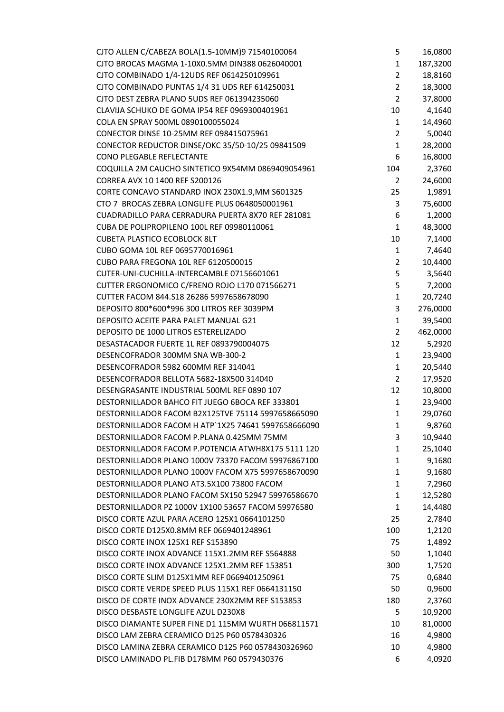| CJTO ALLEN C/CABEZA BOLA(1.5-10MM)9 71540100064     | 5              | 16,0800  |
|-----------------------------------------------------|----------------|----------|
| CJTO BROCAS MAGMA 1-10X0.5MM DIN388 0626040001      | $\mathbf{1}$   | 187,3200 |
| CJTO COMBINADO 1/4-12UDS REF 0614250109961          | $\overline{2}$ | 18,8160  |
| CJTO COMBINADO PUNTAS 1/4 31 UDS REF 614250031      | $\overline{2}$ | 18,3000  |
| CJTO DEST ZEBRA PLANO 5UDS REF 061394235060         | $\overline{2}$ | 37,8000  |
| CLAVIJA SCHUKO DE GOMA IP54 REF 0969300401961       | 10             | 4,1640   |
| COLA EN SPRAY 500ML 0890100055024                   | $\mathbf{1}$   | 14,4960  |
| CONECTOR DINSE 10-25MM REF 098415075961             | $\overline{2}$ | 5,0040   |
| CONECTOR REDUCTOR DINSE/OKC 35/50-10/25 09841509    | $\mathbf{1}$   | 28,2000  |
| CONO PLEGABLE REFLECTANTE                           | 6              | 16,8000  |
| COQUILLA 2M CAUCHO SINTETICO 9X54MM 0869409054961   | 104            | 2,3760   |
| CORREA AVX 10 1400 REF S200126                      | 2              | 24,6000  |
| CORTE CONCAVO STANDARD INOX 230X1.9, MM S601325     | 25             | 1,9891   |
| CTO 7 BROCAS ZEBRA LONGLIFE PLUS 0648050001961      | 3              | 75,6000  |
| CUADRADILLO PARA CERRADURA PUERTA 8X70 REF 281081   | 6              | 1,2000   |
| CUBA DE POLIPROPILENO 100L REF 09980110061          | $\mathbf{1}$   | 48,3000  |
| <b>CUBETA PLASTICO ECOBLOCK 8LT</b>                 | 10             | 7,1400   |
| CUBO GOMA 10L REF 0695770016961                     | $\mathbf{1}$   | 7,4640   |
| CUBO PARA FREGONA 10L REF 6120500015                | $\overline{2}$ | 10,4400  |
| CUTER-UNI-CUCHILLA-INTERCAMBLE 07156601061          | 5              | 3,5640   |
| CUTTER ERGONOMICO C/FRENO ROJO L170 071566271       | 5              | 7,2000   |
| CUTTER FACOM 844.S18 26286 5997658678090            | $\mathbf{1}$   | 20,7240  |
| DEPOSITO 800*600*996 300 LITROS REF 3039PM          | 3              | 276,0000 |
| DEPOSITO ACEITE PARA PALET MANUAL G21               | $\mathbf{1}$   | 39,5400  |
| DEPOSITO DE 1000 LITROS ESTERELIZADO                | $\overline{2}$ | 462,0000 |
| DESASTACADOR FUERTE 1L REF 0893790004075            | 12             | 5,2920   |
| DESENCOFRADOR 300MM SNA WB-300-2                    | $\mathbf{1}$   | 23,9400  |
| DESENCOFRADOR 5982 600MM REF 314041                 | $\mathbf{1}$   | 20,5440  |
| DESENCOFRADOR BELLOTA 5682-18X500 314040            | $\overline{2}$ | 17,9520  |
| DESENGRASANTE INDUSTRIAL 500ML REF 0890 107         | 12             | 10,8000  |
| DESTORNILLADOR BAHCO FIT JUEGO 6BOCA REF 333801     | $\mathbf{1}$   | 23,9400  |
| DESTORNILLADOR FACOM B2X125TVE 75114 5997658665090  | $\mathbf{1}$   | 29,0760  |
| DESTORNILLADOR FACOM H ATP`1X25 74641 5997658666090 | $\mathbf{1}$   | 9,8760   |
| DESTORNILLADOR FACOM P.PLANA 0.425MM 75MM           | 3              | 10,9440  |
| DESTORNILLADOR FACOM P.POTENCIA ATWH8X175 5111 120  | $\mathbf{1}$   | 25,1040  |
| DESTORNILLADOR PLANO 1000V 73370 FACOM 59976867100  | $\mathbf{1}$   | 9,1680   |
| DESTORNILLADOR PLANO 1000V FACOM X75 5997658670090  | $\mathbf{1}$   | 9,1680   |
| DESTORNILLADOR PLANO AT3.5X100 73800 FACOM          | $\mathbf{1}$   | 7,2960   |
| DESTORNILLADOR PLANO FACOM 5X150 52947 59976586670  | 1              | 12,5280  |
| DESTORNILLADOR PZ 1000V 1X100 53657 FACOM 59976580  | 1              | 14,4480  |
| DISCO CORTE AZUL PARA ACERO 125X1 0664101250        | 25             | 2,7840   |
| DISCO CORTE D125X0.8MM REF 0669401248961            | 100            | 1,2120   |
| DISCO CORTE INOX 125X1 REF S153890                  | 75             | 1,4892   |
| DISCO CORTE INOX ADVANCE 115X1.2MM REF S564888      | 50             | 1,1040   |
| DISCO CORTE INOX ADVANCE 125X1.2MM REF 153851       | 300            | 1,7520   |
| DISCO CORTE SLIM D125X1MM REF 0669401250961         | 75             | 0,6840   |
| DISCO CORTE VERDE SPEED PLUS 115X1 REF 0664131150   | 50             | 0,9600   |
| DISCO DE CORTE INOX ADVANCE 230X2MM REF S153853     | 180            | 2,3760   |
| DISCO DESBASTE LONGLIFE AZUL D230X8                 | 5              | 10,9200  |
| DISCO DIAMANTE SUPER FINE D1 115MM WURTH 066811571  | 10             | 81,0000  |
| DISCO LAM ZEBRA CERAMICO D125 P60 0578430326        | 16             | 4,9800   |
| DISCO LAMINA ZEBRA CERAMICO D125 P60 0578430326960  | 10             | 4,9800   |
| DISCO LAMINADO PL.FIB D178MM P60 0579430376         | 6              | 4,0920   |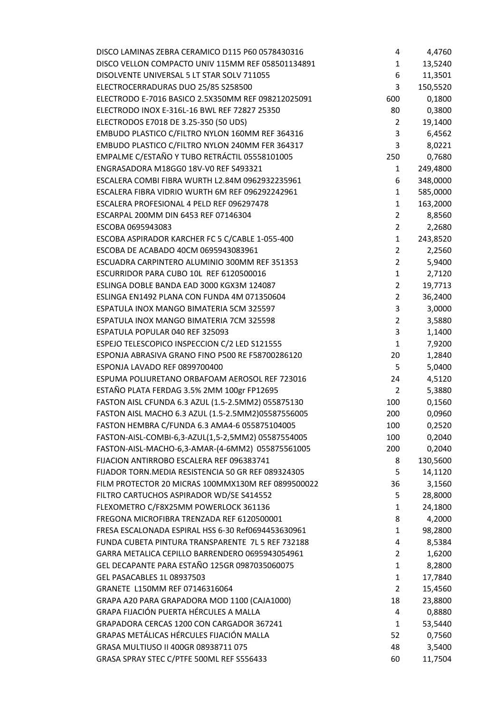| DISCO LAMINAS ZEBRA CERAMICO D115 P60 0578430316                                                  | 4                   | 4,4760           |
|---------------------------------------------------------------------------------------------------|---------------------|------------------|
| DISCO VELLON COMPACTO UNIV 115MM REF 058501134891                                                 | 1                   | 13,5240          |
| DISOLVENTE UNIVERSAL 5 LT STAR SOLV 711055                                                        | 6                   | 11,3501          |
| ELECTROCERRADURAS DUO 25/85 S258500                                                               | 3                   | 150,5520         |
| ELECTRODO E-7016 BASICO 2.5X350MM REF 098212025091                                                | 600                 | 0,1800           |
| ELECTRODO INOX E-316L-16 BWL REF 72827 25350                                                      | 80                  | 0,3800           |
| ELECTRODOS E7018 DE 3.25-350 (50 UDS)                                                             | 2                   | 19,1400          |
| EMBUDO PLASTICO C/FILTRO NYLON 160MM REF 364316                                                   | 3                   | 6,4562           |
| EMBUDO PLASTICO C/FILTRO NYLON 240MM FER 364317                                                   | 3                   | 8,0221           |
| EMPALME C/ESTAÑO Y TUBO RETRÁCTIL 05558101005                                                     | 250                 | 0,7680           |
| ENGRASADORA M18GG0 18V-V0 REF S493321                                                             | 1                   | 249,4800         |
| ESCALERA COMBI FIBRA WURTH L2.84M 0962932235961                                                   | 6                   | 348,0000         |
| ESCALERA FIBRA VIDRIO WURTH 6M REF 096292242961                                                   | $\mathbf{1}$        | 585,0000         |
| ESCALERA PROFESIONAL 4 PELD REF 096297478                                                         | 1                   | 163,2000         |
| ESCARPAL 200MM DIN 6453 REF 07146304                                                              | $\overline{2}$      | 8,8560           |
| ESCOBA 0695943083                                                                                 | $\overline{2}$      | 2,2680           |
| ESCOBA ASPIRADOR KARCHER FC 5 C/CABLE 1-055-400                                                   | $\mathbf{1}$        | 243,8520         |
| ESCOBA DE ACABADO 40CM 0695943083961                                                              | $\overline{2}$      | 2,2560           |
| ESCUADRA CARPINTERO ALUMINIO 300MM REF 351353                                                     | $\overline{2}$      | 5,9400           |
| ESCURRIDOR PARA CUBO 10L REF 6120500016                                                           | $\mathbf{1}$        | 2,7120           |
| ESLINGA DOBLE BANDA EAD 3000 KGX3M 124087                                                         | $\overline{2}$      |                  |
|                                                                                                   |                     | 19,7713          |
| ESLINGA EN1492 PLANA CON FUNDA 4M 071350604                                                       | $\overline{2}$<br>3 | 36,2400          |
| ESPATULA INOX MANGO BIMATERIA 5CM 325597                                                          |                     | 3,0000           |
| ESPATULA INOX MANGO BIMATERIA 7CM 325598                                                          | $\overline{2}$      | 3,5880           |
| ESPATULA POPULAR 040 REF 325093                                                                   | 3                   | 1,1400           |
| ESPEJO TELESCOPICO INSPECCION C/2 LED S121555<br>ESPONJA ABRASIVA GRANO FINO P500 RE F58700286120 | $\mathbf{1}$        | 7,9200           |
| ESPONJA LAVADO REF 0899700400                                                                     | 20<br>5             | 1,2840           |
| ESPUMA POLIURETANO ORBAFOAM AEROSOL REF 723016                                                    |                     | 5,0400<br>4,5120 |
| ESTAÑO PLATA FERDAG 3.5% 2MM 100gr FP12695                                                        | 24                  |                  |
|                                                                                                   | $\overline{2}$      | 5,3880           |
| FASTON AISL CFUNDA 6.3 AZUL (1.5-2.5MM2) 055875130                                                | 100                 | 0,1560           |
| FASTON AISL MACHO 6.3 AZUL (1.5-2.5MM2)05587556005                                                | 200                 | 0,0960           |
| FASTON HEMBRA C/FUNDA 6.3 AMA4-6 055875104005                                                     | 100                 | 0,2520           |
| FASTON-AISL-COMBI-6,3-AZUL(1,5-2,5MM2) 05587554005                                                | 100                 | 0,2040           |
| FASTON-AISL-MACHO-6,3-AMAR-(4-6MM2) 055875561005                                                  | 200                 | 0,2040           |
| FIJACION ANTIRROBO ESCALERA REF 096383741                                                         | 8                   | 130,5600         |
| FIJADOR TORN. MEDIA RESISTENCIA 50 GR REF 089324305                                               | 5                   | 14,1120          |
| FILM PROTECTOR 20 MICRAS 100MMX130M REF 0899500022                                                | 36                  | 3,1560           |
| FILTRO CARTUCHOS ASPIRADOR WD/SE S414552                                                          | 5                   | 28,8000          |
| FLEXOMETRO C/F8X25MM POWERLOCK 361136                                                             | 1                   | 24,1800          |
| FREGONA MICROFIBRA TRENZADA REF 6120500001                                                        | 8                   | 4,2000           |
| FRESA ESCALONADA ESPIRAL HSS 6-30 Ref0694453630961                                                | 1                   | 98,2800          |
| FUNDA CUBETA PINTURA TRANSPARENTE 7L 5 REF 732188                                                 | 4                   | 8,5384           |
| GARRA METALICA CEPILLO BARRENDERO 0695943054961                                                   | 2                   | 1,6200           |
| GEL DECAPANTE PARA ESTAÑO 125GR 0987035060075                                                     | $\mathbf{1}$        | 8,2800           |
| <b>GEL PASACABLES 1L 08937503</b>                                                                 | 1                   | 17,7840          |
| GRANETE L150MM REF 07146316064                                                                    | 2                   | 15,4560          |
| GRAPA A20 PARA GRAPADORA MOD 1100 (CAJA1000)                                                      | 18                  | 23,8800          |
| GRAPA FIJACIÓN PUERTA HÉRCULES A MALLA                                                            | 4                   | 0,8880           |
| GRAPADORA CERCAS 1200 CON CARGADOR 367241                                                         | $\mathbf{1}$        | 53,5440          |
| GRAPAS METÁLICAS HÉRCULES FIJACIÓN MALLA                                                          | 52                  | 0,7560           |
| GRASA MULTIUSO II 400GR 08938711 075                                                              | 48                  | 3,5400           |
| GRASA SPRAY STEC C/PTFE 500ML REF S556433                                                         | 60                  | 11,7504          |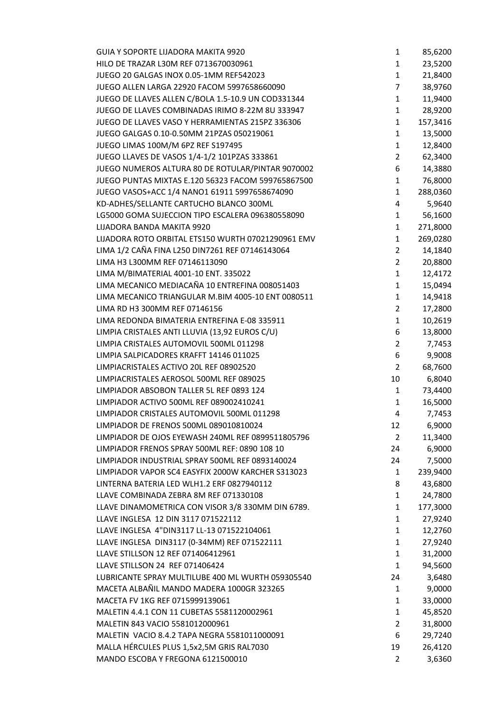| <b>GUIA Y SOPORTE LIJADORA MAKITA 9920</b>         | 1              | 85,6200  |
|----------------------------------------------------|----------------|----------|
| HILO DE TRAZAR L30M REF 0713670030961              | $\mathbf{1}$   | 23,5200  |
| JUEGO 20 GALGAS INOX 0.05-1MM REF542023            | $\mathbf{1}$   | 21,8400  |
| JUEGO ALLEN LARGA 22920 FACOM 5997658660090        | 7              | 38,9760  |
| JUEGO DE LLAVES ALLEN C/BOLA 1.5-10.9 UN COD331344 | $\mathbf{1}$   | 11,9400  |
| JUEGO DE LLAVES COMBINADAS IRIMO 8-22M 8U 333947   | $\mathbf{1}$   | 28,9200  |
| JUEGO DE LLAVES VASO Y HERRAMIENTAS 215PZ 336306   | 1              | 157,3416 |
| JUEGO GALGAS 0.10-0.50MM 21PZAS 050219061          | $\mathbf{1}$   | 13,5000  |
| JUEGO LIMAS 100M/M 6PZ REF S197495                 | $\mathbf{1}$   | 12,8400  |
| JUEGO LLAVES DE VASOS 1/4-1/2 101PZAS 333861       | $\overline{2}$ | 62,3400  |
| JUEGO NUMEROS ALTURA 80 DE ROTULAR/PINTAR 9070002  | 6              | 14,3880  |
| JUEGO PUNTAS MIXTAS E.120 56323 FACOM 599765867500 | 1              | 76,8000  |
| JUEGO VASOS+ACC 1/4 NANO1 61911 5997658674090      | $\mathbf{1}$   | 288,0360 |
| KD-ADHES/SELLANTE CARTUCHO BLANCO 300ML            | 4              | 5,9640   |
| LG5000 GOMA SUJECCION TIPO ESCALERA 096380558090   | $\mathbf{1}$   | 56,1600  |
| LIJADORA BANDA MAKITA 9920                         | 1              | 271,8000 |
| LIJADORA ROTO ORBITAL ETS150 WURTH 07021290961 EMV | 1              | 269,0280 |
| LIMA 1/2 CAÑA FINA L250 DIN7261 REF 07146143064    | $\overline{2}$ | 14,1840  |
| LIMA H3 L300MM REF 07146113090                     | $\overline{2}$ | 20,8800  |
| LIMA M/BIMATERIAL 4001-10 ENT. 335022              | 1              | 12,4172  |
| LIMA MECANICO MEDIACAÑA 10 ENTREFINA 008051403     | 1              | 15,0494  |
| LIMA MECANICO TRIANGULAR M.BIM 4005-10 ENT 0080511 | 1              | 14,9418  |
| LIMA RD H3 300MM REF 07146156                      | $\overline{2}$ | 17,2800  |
| LIMA REDONDA BIMATERIA ENTREFINA E-08 335911       | $\mathbf{1}$   | 10,2619  |
| LIMPIA CRISTALES ANTI LLUVIA (13,92 EUROS C/U)     | 6              | 13,8000  |
| LIMPIA CRISTALES AUTOMOVIL 500ML 011298            | $\overline{2}$ | 7,7453   |
| LIMPIA SALPICADORES KRAFFT 14146 011025            | 6              | 9,9008   |
| LIMPIACRISTALES ACTIVO 20L REF 08902520            | $\overline{2}$ | 68,7600  |
| LIMPIACRISTALES AEROSOL 500ML REF 089025           | 10             | 6,8040   |
| LIMPIADOR ABSOBON TALLER 5L REF 0893 124           | 1              | 73,4400  |
| LIMPIADOR ACTIVO 500ML REF 089002410241            | $\mathbf{1}$   | 16,5000  |
| LIMPIADOR CRISTALES AUTOMOVIL 500ML 011298         | 4              | 7,7453   |
| LIMPIADOR DE FRENOS 500ML 089010810024             | 12             | 6,9000   |
| LIMPIADOR DE OJOS EYEWASH 240ML REF 0899511805796  | 2              | 11,3400  |
| LIMPIADOR FRENOS SPRAY 500ML REF: 0890 108 10      | 24             | 6,9000   |
| LIMPIADOR INDUSTRIAL SPRAY 500ML REF 0893140024    | 24             | 7,5000   |
| LIMPIADOR VAPOR SC4 EASYFIX 2000W KARCHER S313023  | 1              | 239,9400 |
| LINTERNA BATERIA LED WLH1.2 ERF 0827940112         | 8              | 43,6800  |
| LLAVE COMBINADA ZEBRA 8M REF 071330108             | $\mathbf{1}$   | 24,7800  |
| LLAVE DINAMOMETRICA CON VISOR 3/8 330MM DIN 6789.  | 1              | 177,3000 |
| LLAVE INGLESA 12 DIN 3117 071522112                | $\mathbf{1}$   | 27,9240  |
| LLAVE INGLESA 4"DIN3117 LL-13 071522104061         | $\mathbf{1}$   | 12,2760  |
| LLAVE INGLESA DIN3117 (0-34MM) REF 071522111       | 1              | 27,9240  |
| LLAVE STILLSON 12 REF 071406412961                 | 1              | 31,2000  |
| LLAVE STILLSON 24 REF 071406424                    | $\mathbf{1}$   | 94,5600  |
| LUBRICANTE SPRAY MULTILUBE 400 ML WURTH 059305540  | 24             | 3,6480   |
| MACETA ALBAÑIL MANDO MADERA 1000GR 323265          | 1              | 9,0000   |
| MACETA FV 1KG REF 0715999139061                    | 1              | 33,0000  |
| MALETIN 4.4.1 CON 11 CUBETAS 5581120002961         | $\mathbf{1}$   | 45,8520  |
| MALETIN 843 VACIO 5581012000961                    | $\overline{2}$ | 31,8000  |
| MALETIN VACIO 8.4.2 TAPA NEGRA 5581011000091       | 6              | 29,7240  |
| MALLA HÉRCULES PLUS 1,5x2,5M GRIS RAL7030          | 19             | 26,4120  |
| MANDO ESCOBA Y FREGONA 6121500010                  | $\overline{2}$ | 3,6360   |
|                                                    |                |          |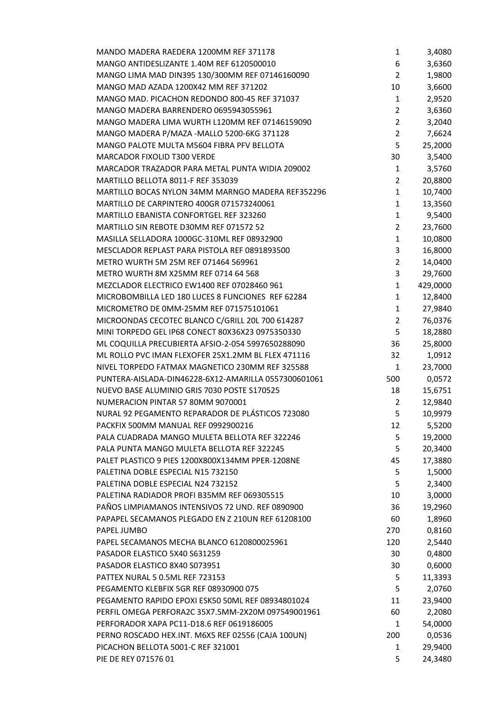| MANDO MADERA RAEDERA 1200MM REF 371178                                                          | 1              | 3,4080   |
|-------------------------------------------------------------------------------------------------|----------------|----------|
| MANGO ANTIDESLIZANTE 1.40M REF 6120500010                                                       | 6              | 3,6360   |
| MANGO LIMA MAD DIN395 130/300MM REF 07146160090                                                 | $\overline{2}$ | 1,9800   |
| MANGO MAD AZADA 1200X42 MM REF 371202                                                           | 10             | 3,6600   |
| MANGO MAD. PICACHON REDONDO 800-45 REF 371037                                                   | $\mathbf{1}$   | 2,9520   |
| MANGO MADERA BARRENDERO 0695943055961                                                           | $\overline{2}$ | 3,6360   |
| MANGO MADERA LIMA WURTH L120MM REF 07146159090                                                  | $\overline{2}$ | 3,2040   |
| MANGO MADERA P/MAZA -MALLO 5200-6KG 371128                                                      | $\overline{2}$ | 7,6624   |
| MANGO PALOTE MULTA M5604 FIBRA PFV BELLOTA                                                      | 5              | 25,2000  |
| <b>MARCADOR FIXOLID T300 VERDE</b>                                                              | 30             | 3,5400   |
| MARCADOR TRAZADOR PARA METAL PUNTA WIDIA 209002                                                 | 1              | 3,5760   |
| MARTILLO BELLOTA 8011-F REF 353039                                                              | 2              | 20,8800  |
| MARTILLO BOCAS NYLON 34MM MARNGO MADERA REF352296                                               | $\mathbf{1}$   | 10,7400  |
| MARTILLO DE CARPINTERO 400GR 071573240061                                                       | $\mathbf{1}$   | 13,3560  |
| MARTILLO EBANISTA CONFORTGEL REF 323260                                                         | $\mathbf{1}$   | 9,5400   |
| MARTILLO SIN REBOTE D30MM REF 071572 52                                                         | 2              | 23,7600  |
| MASILLA SELLADORA 1000GC-310ML REF 08932900                                                     | $\mathbf{1}$   | 10,0800  |
| MESCLADOR REPLAST PARA PISTOLA REF 0891893500                                                   | 3              | 16,8000  |
| METRO WURTH 5M 25M REF 071464 569961                                                            | $\overline{2}$ | 14,0400  |
| METRO WURTH 8M X25MM REF 0714 64 568                                                            | 3              | 29,7600  |
| MEZCLADOR ELECTRICO EW1400 REF 07028460 961                                                     | $\mathbf{1}$   | 429,0000 |
| MICROBOMBILLA LED 180 LUCES 8 FUNCIONES REF 62284                                               | $\mathbf{1}$   | 12,8400  |
| MICROMETRO DE 0MM-25MM REF 071575101061                                                         | $\mathbf{1}$   | 27,9840  |
| MICROONDAS CECOTEC BLANCO C/GRILL 20L 700 614287                                                | $\overline{2}$ | 76,0376  |
| MINI TORPEDO GEL IP68 CONECT 80X36X23 0975350330                                                | 5              | 18,2880  |
| ML COQUILLA PRECUBIERTA AFSIO-2-054 5997650288090                                               | 36             | 25,8000  |
| ML ROLLO PVC IMAN FLEXOFER 25X1.2MM BL FLEX 471116                                              | 32             | 1,0912   |
| NIVEL TORPEDO FATMAX MAGNETICO 230MM REF 325588                                                 | $\mathbf{1}$   | 23,7000  |
| PUNTERA-AISLADA-DIN46228-6X12-AMARILLA 0557300601061                                            | 500            | 0,0572   |
| NUEVO BASE ALUMINIO GRIS 7030 POSTE S170525                                                     | 18             | 15,6751  |
| NUMERACION PINTAR 57 80MM 9070001                                                               | 2              | 12,9840  |
| NURAL 92 PEGAMENTO REPARADOR DE PLÁSTICOS 723080                                                | 5              | 10,9979  |
| PACKFIX 500MM MANUAL REF 0992900216                                                             | 12             | 5,5200   |
| PALA CUADRADA MANGO MULETA BELLOTA REF 322246                                                   | 5              | 19,2000  |
| PALA PUNTA MANGO MULETA BELLOTA REF 322245                                                      | 5              | 20,3400  |
| PALET PLASTICO 9 PIES 1200X800X134MM PPER-1208NE                                                | 45             | 17,3880  |
| PALETINA DOBLE ESPECIAL N15 732150                                                              | 5              | 1,5000   |
| PALETINA DOBLE ESPECIAL N24 732152                                                              | 5              | 2,3400   |
| PALETINA RADIADOR PROFI B35MM REF 069305515                                                     | 10             | 3,0000   |
| PAÑOS LIMPIAMANOS INTENSIVOS 72 UND. REF 0890900                                                | 36             | 19,2960  |
| PAPAPEL SECAMANOS PLEGADO EN Z 210UN REF 61208100                                               | 60             | 1,8960   |
| PAPEL JUMBO                                                                                     | 270            | 0,8160   |
| PAPEL SECAMANOS MECHA BLANCO 6120800025961                                                      | 120            | 2,5440   |
| PASADOR ELASTICO 5X40 S631259                                                                   | 30             | 0,4800   |
| PASADOR ELASTICO 8X40 S073951                                                                   | 30             | 0,6000   |
| PATTEX NURAL 5 0.5ML REF 723153                                                                 | 5              | 11,3393  |
| PEGAMENTO KLEBFIX 5GR REF 08930900 075                                                          | 5              | 2,0760   |
| PEGAMENTO RAPIDO EPOXI ESK50 50ML REF 08934801024                                               | 11             | 23,9400  |
|                                                                                                 |                |          |
| PERFIL OMEGA PERFORA2C 35X7.5MM-2X20M 097549001961<br>PERFORADOR XAPA PC11-D18.6 REF 0619186005 | 60             | 2,2080   |
|                                                                                                 | 1              | 54,0000  |
| PERNO ROSCADO HEX.INT. M6X5 REF 02556 (CAJA 100UN)                                              | 200            | 0,0536   |
| PICACHON BELLOTA 5001-C REF 321001                                                              | 1              | 29,9400  |
| PIE DE REY 071576 01                                                                            | 5              | 24,3480  |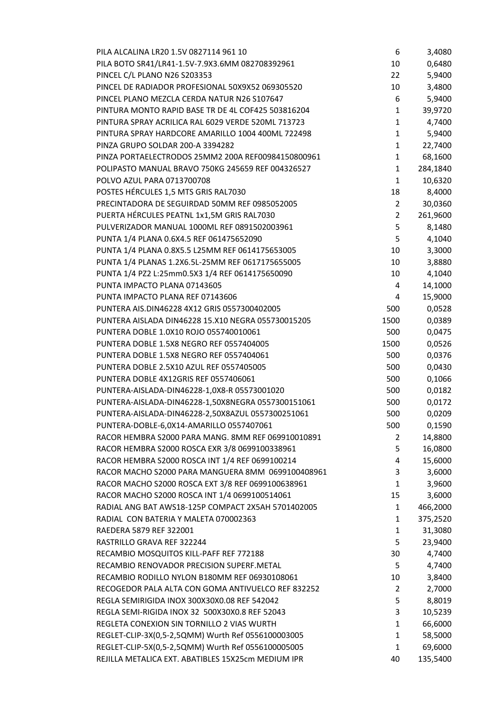| PILA ALCALINA LR20 1.5V 0827114 961 10             | 6              | 3,4080   |
|----------------------------------------------------|----------------|----------|
| PILA BOTO SR41/LR41-1.5V-7.9X3.6MM 082708392961    | 10             | 0,6480   |
| PINCEL C/L PLANO N26 S203353                       | 22             | 5,9400   |
| PINCEL DE RADIADOR PROFESIONAL 50X9X52 069305520   | 10             | 3,4800   |
| PINCEL PLANO MEZCLA CERDA NATUR N26 S107647        | 6              | 5,9400   |
| PINTURA MONTO RAPID BASE TR DE 4L COF425 503816204 | $\mathbf{1}$   | 39,9720  |
| PINTURA SPRAY ACRILICA RAL 6029 VERDE 520ML 713723 | $\mathbf{1}$   | 4,7400   |
| PINTURA SPRAY HARDCORE AMARILLO 1004 400ML 722498  | $\mathbf{1}$   | 5,9400   |
| PINZA GRUPO SOLDAR 200-A 3394282                   | 1              | 22,7400  |
| PINZA PORTAELECTRODOS 25MM2 200A REF00984150800961 | $\mathbf{1}$   | 68,1600  |
| POLIPASTO MANUAL BRAVO 750KG 245659 REF 004326527  | 1              | 284,1840 |
| POLVO AZUL PARA 0713700708                         | $\mathbf{1}$   | 10,6320  |
| POSTES HÉRCULES 1,5 MTS GRIS RAL7030               | 18             | 8,4000   |
| PRECINTADORA DE SEGUIRDAD 50MM REF 0985052005      | $\overline{2}$ | 30,0360  |
| PUERTA HÉRCULES PEATNL 1x1,5M GRIS RAL7030         | $\overline{2}$ | 261,9600 |
| PULVERIZADOR MANUAL 1000ML REF 0891502003961       | 5              | 8,1480   |
| PUNTA 1/4 PLANA 0.6X4.5 REF 061475652090           | 5              | 4,1040   |
| PUNTA 1/4 PLANA 0.8X5.5 L25MM REF 0614175653005    | 10             | 3,3000   |
| PUNTA 1/4 PLANAS 1.2X6.5L-25MM REF 0617175655005   | 10             | 3,8880   |
| PUNTA 1/4 PZ2 L:25mm0.5X3 1/4 REF 0614175650090    | 10             | 4,1040   |
| PUNTA IMPACTO PLANA 07143605                       | 4              | 14,1000  |
| PUNTA IMPACTO PLANA REF 07143606                   | 4              | 15,9000  |
| PUNTERA AIS.DIN46228 4X12 GRIS 0557300402005       | 500            | 0,0528   |
| PUNTERA AISLADA DIN46228 15.X10 NEGRA 055730015205 | 1500           | 0,0389   |
| PUNTERA DOBLE 1.0X10 ROJO 055740010061             | 500            | 0,0475   |
| PUNTERA DOBLE 1.5X8 NEGRO REF 0557404005           | 1500           | 0,0526   |
| PUNTERA DOBLE 1.5X8 NEGRO REF 0557404061           | 500            | 0,0376   |
| PUNTERA DOBLE 2.5X10 AZUL REF 0557405005           | 500            | 0,0430   |
| PUNTERA DOBLE 4X12GRIS REF 0557406061              | 500            | 0,1066   |
| PUNTERA-AISLADA-DIN46228-1,0X8-R 05573001020       | 500            | 0,0182   |
| PUNTERA-AISLADA-DIN46228-1,50X8NEGRA 0557300151061 | 500            | 0,0172   |
| PUNTERA-AISLADA-DIN46228-2,50X8AZUL 0557300251061  | 500            | 0,0209   |
| PUNTERA-DOBLE-6,0X14-AMARILLO 0557407061           | 500            | 0,1590   |
| RACOR HEMBRA S2000 PARA MANG. 8MM REF 069910010891 | 2              | 14,8800  |
| RACOR HEMBRA S2000 ROSCA EXR 3/8 0699100338961     | 5              | 16,0800  |
| RACOR HEMBRA S2000 ROSCA INT 1/4 REF 0699100214    | 4              | 15,6000  |
| RACOR MACHO S2000 PARA MANGUERA 8MM 0699100408961  | 3              | 3,6000   |
| RACOR MACHO S2000 ROSCA EXT 3/8 REF 0699100638961  | $\mathbf{1}$   | 3,9600   |
| RACOR MACHO S2000 ROSCA INT 1/4 0699100514061      | 15             | 3,6000   |
| RADIAL ANG BAT AWS18-125P COMPACT 2X5AH 5701402005 | 1              | 466,2000 |
| RADIAL CON BATERIA Y MALETA 070002363              | 1              | 375,2520 |
| RAEDERA 5879 REF 322001                            | $\mathbf{1}$   | 31,3080  |
| RASTRILLO GRAVA REF 322244                         | 5              | 23,9400  |
| RECAMBIO MOSQUITOS KILL-PAFF REF 772188            | 30             | 4,7400   |
| RECAMBIO RENOVADOR PRECISION SUPERF.METAL          | 5              | 4,7400   |
| RECAMBIO RODILLO NYLON B180MM REF 06930108061      | 10             | 3,8400   |
| RECOGEDOR PALA ALTA CON GOMA ANTIVUELCO REF 832252 | 2              | 2,7000   |
| REGLA SEMIRIGIDA INOX 300X30X0.08 REF 542042       | 5              | 8,8019   |
| REGLA SEMI-RIGIDA INOX 32 500X30X0.8 REF 52043     | 3              | 10,5239  |
| REGLETA CONEXION SIN TORNILLO 2 VIAS WURTH         | 1              | 66,6000  |
| REGLET-CLIP-3X(0,5-2,5QMM) Wurth Ref 0556100003005 | 1              | 58,5000  |
| REGLET-CLIP-5X(0,5-2,5QMM) Wurth Ref 0556100005005 | $\mathbf{1}$   | 69,6000  |
| REJILLA METALICA EXT. ABATIBLES 15X25cm MEDIUM IPR | 40             | 135,5400 |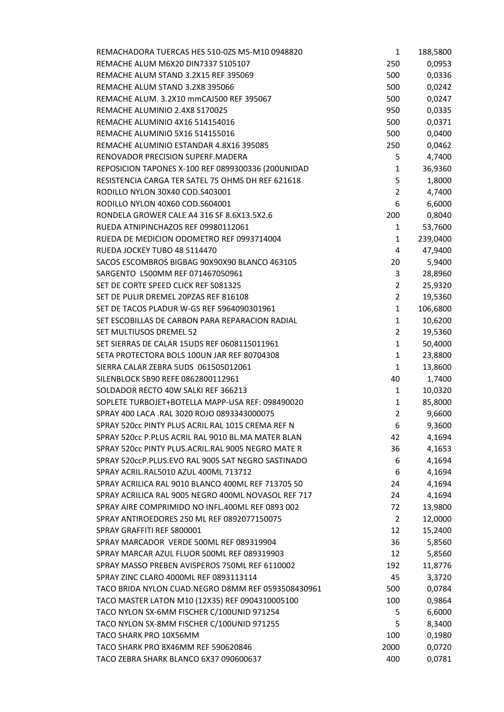| REMACHADORA TUERCAS HES 510-0ZS M5-M10 0948820      | 1              | 188,5800 |
|-----------------------------------------------------|----------------|----------|
| REMACHE ALUM M6X20 DIN7337 S105107                  | 250            | 0,0953   |
| REMACHE ALUM STAND 3.2X15 REF 395069                | 500            | 0,0336   |
| REMACHE ALUM STAND 3.2X8 395066                     | 500            | 0,0242   |
| REMACHE ALUM. 3.2X10 mmCAJ500 REF 395067            | 500            | 0,0247   |
| REMACHE ALUMINIO 2.4X8 S170025                      | 950            | 0,0335   |
| REMACHE ALUMINIO 4X16 514154016                     | 500            | 0,0371   |
| REMACHE ALUMINIO 5X16 514155016                     | 500            | 0,0400   |
| REMACHE ALUMINIO ESTANDAR 4.8X16 395085             | 250            | 0,0462   |
| RENOVADOR PRECISION SUPERF.MADERA                   | 5              | 4,7400   |
| REPOSICION TAPONES X-100 REF 0899300336 (200UNIDAD  | 1              | 36,9360  |
| RESISTENCIA CARGA TER SATEL 75 OHMS DH REF 621618   | 5              | 1,8000   |
| RODILLO NYLON 30X40 COD.S403001                     | $\overline{2}$ | 4,7400   |
| RODILLO NYLON 40X60 COD.S604001                     | 6              | 6,6000   |
| RONDELA GROWER CALE A4 316 SF 8.6X13.5X2.6          | 200            | 0,8040   |
| RUEDA ATNIPINCHAZOS REF 09980112061                 | 1              | 53,7600  |
| RUEDA DE MEDICION ODOMETRO REF 0993714004           | 1              | 239,0400 |
| RUEDA JOCKEY TUBO 48 S114470                        | 4              | 47,9400  |
| SACOS ESCOMBROS BIGBAG 90X90X90 BLANCO 463105       | 20             | 5,9400   |
| SARGENTO L500MM REF 071467050961                    | 3              | 28,8960  |
| SET DE CORTE SPEED CLICK REF S081325                | $\overline{2}$ | 25,9320  |
| SET DE PULIR DREMEL 20PZAS REF 816108               | $\overline{2}$ | 19,5360  |
| SET DE TACOS PLADUR W-GS REF 5964090301961          | $\mathbf{1}$   | 106,6800 |
| SET ESCOBILLAS DE CARBON PARA REPARACION RADIAL     | $\mathbf{1}$   | 10,6200  |
| SET MULTIUSOS DREMEL 52                             | $\overline{2}$ | 19,5360  |
| SET SIERRAS DE CALAR 15UDS REF 0608115011961        | $\mathbf{1}$   | 50,4000  |
| SETA PROTECTORA BOLS 100UN JAR REF 80704308         | $\mathbf{1}$   | 23,8800  |
| SIERRA CALAR ZEBRA 5UDS 061505012061                | $\mathbf{1}$   | 13,8600  |
| SILENBLOCK SB90 REFE 0862800112961                  | 40             | 1,7400   |
| SOLDADOR RECTO 40W SALKI REF 366213                 | 1              | 10,0320  |
| SOPLETE TURBOJET+BOTELLA MAPP-USA REF: 098490020    | $\mathbf{1}$   | 85,8000  |
| SPRAY 400 LACA .RAL 3020 ROJO 0893343000075         | $\overline{2}$ | 9,6600   |
| SPRAY 520cc PINTY PLUS ACRIL RAL 1015 CREMA REF N   | 6              | 9,3600   |
| SPRAY 520cc P.PLUS ACRIL RAL 9010 BL.MA MATER BLAN  | 42             | 4,1694   |
| SPRAY 520cc PINTY PLUS.ACRIL.RAL 9005 NEGRO MATE R  | 36             | 4,1653   |
| SPRAY 520ccP.PLUS.EVO RAL 9005 SAT NEGRO SASTINADO  | 6              | 4,1694   |
| SPRAY ACRIL.RAL5010 AZUL 400ML 713712               | 6              | 4,1694   |
| SPRAY ACRILICA RAL 9010 BLANCO 400ML REF 713705 50  | 24             | 4,1694   |
| SPRAY ACRILICA RAL 9005 NEGRO 400ML NOVASOL REF 717 | 24             | 4,1694   |
| SPRAY AIRE COMPRIMIDO NO INFL.400ML REF 0893 002    | 72             | 13,9800  |
| SPRAY ANTIROEDORES 250 ML REF 0892077150075         | 2              | 12,0000  |
| SPRAY GRAFFITI REF S800001                          | 12             | 15,2400  |
| SPRAY MARCADOR VERDE 500ML REF 089319904            | 36             | 5,8560   |
| SPRAY MARCAR AZUL FLUOR 500ML REF 089319903         | 12             | 5,8560   |
| SPRAY MASSO PREBEN AVISPEROS 750ML REF 6110002      | 192            | 11,8776  |
| SPRAY ZINC CLARO 4000ML REF 0893113114              | 45             | 3,3720   |
| TACO BRIDA NYLON CUAD.NEGRO D8MM REF 0593508430961  | 500            | 0,0784   |
| TACO MASTER LATON M10 (12X35) REF 0904310005100     | 100            | 0,9864   |
| TACO NYLON SX-6MM FISCHER C/100UNID 971254          | 5              | 6,6000   |
| TACO NYLON SX-8MM FISCHER C/100UNID 971255          | 5              | 8,3400   |
| TACO SHARK PRO 10X56MM                              | 100            |          |
| TACO SHARK PRO 8X46MM REF 590620846                 |                | 0,1980   |
|                                                     | 2000           | 0,0720   |
| TACO ZEBRA SHARK BLANCO 6X37 090600637              | 400            | 0,0781   |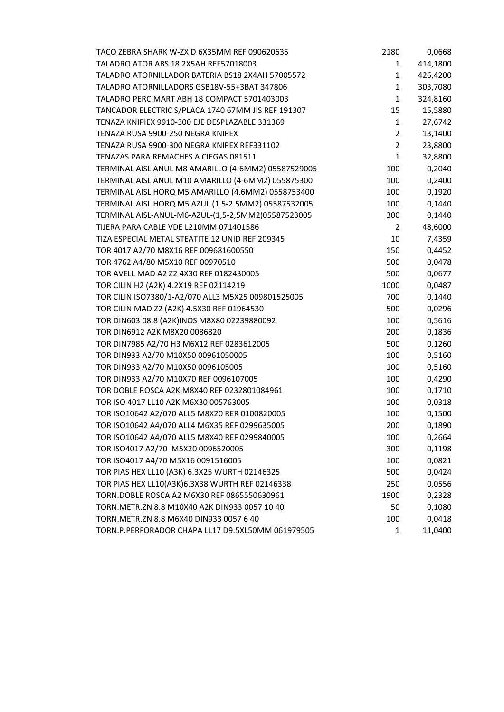| TACO ZEBRA SHARK W-ZX D 6X35MM REF 090620635        | 2180           | 0,0668   |
|-----------------------------------------------------|----------------|----------|
| TALADRO ATOR ABS 18 2X5AH REF57018003               | 1              | 414,1800 |
| TALADRO ATORNILLADOR BATERIA BS18 2X4AH 57005572    | 1              | 426,4200 |
| TALADRO ATORNILLADORS GSB18V-55+3BAT 347806         | 1              | 303,7080 |
| TALADRO PERC.MART ABH 18 COMPACT 5701403003         | 1              | 324,8160 |
| TANCADOR ELECTRIC S/PLACA 1740 67MM JIS REF 191307  | 15             | 15,5880  |
| TENAZA KNIPIEX 9910-300 EJE DESPLAZABLE 331369      | 1              | 27,6742  |
| TENAZA RUSA 9900-250 NEGRA KNIPEX                   | $\overline{2}$ | 13,1400  |
| TENAZA RUSA 9900-300 NEGRA KNIPEX REF331102         | $\overline{2}$ | 23,8800  |
| TENAZAS PARA REMACHES A CIEGAS 081511               | $\mathbf{1}$   | 32,8800  |
| TERMINAL AISL ANUL M8 AMARILLO (4-6MM2) 05587529005 | 100            | 0,2040   |
| TERMINAL AISL ANUL M10 AMARILLO (4-6MM2) 055875300  | 100            | 0,2400   |
| TERMINAL AISL HORQ M5 AMARILLO (4.6MM2) 0558753400  | 100            | 0,1920   |
| TERMINAL AISL HORQ M5 AZUL (1.5-2.5MM2) 05587532005 | 100            | 0,1440   |
| TERMINAL AISL-ANUL-M6-AZUL-(1,5-2,5MM2)05587523005  | 300            | 0,1440   |
| TIJERA PARA CABLE VDE L210MM 071401586              | 2              | 48,6000  |
| TIZA ESPECIAL METAL STEATITE 12 UNID REF 209345     | 10             | 7,4359   |
| TOR 4017 A2/70 M8X16 REF 009681600550               | 150            | 0,4452   |
| TOR 4762 A4/80 M5X10 REF 00970510                   | 500            | 0,0478   |
| TOR AVELL MAD A2 Z2 4X30 REF 0182430005             | 500            | 0,0677   |
| TOR CILIN H2 (A2K) 4.2X19 REF 02114219              | 1000           | 0,0487   |
| TOR CILIN ISO7380/1-A2/070 ALL3 M5X25 009801525005  | 700            | 0,1440   |
| TOR CILIN MAD Z2 (A2K) 4.5X30 REF 01964530          | 500            | 0,0296   |
| TOR DIN603 08.8 (A2K)INOS M8X80 02239880092         | 100            | 0,5616   |
| TOR DIN6912 A2K M8X20 0086820                       | 200            | 0,1836   |
| TOR DIN7985 A2/70 H3 M6X12 REF 0283612005           | 500            | 0,1260   |
| TOR DIN933 A2/70 M10X50 00961050005                 | 100            | 0,5160   |
| TOR DIN933 A2/70 M10X50 0096105005                  | 100            | 0,5160   |
| TOR DIN933 A2/70 M10X70 REF 0096107005              | 100            | 0,4290   |
| TOR DOBLE ROSCA A2K M8X40 REF 0232801084961         | 100            | 0,1710   |
| TOR ISO 4017 LL10 A2K M6X30 005763005               | 100            | 0,0318   |
| TOR ISO10642 A2/070 ALL5 M8X20 RER 0100820005       | 100            | 0,1500   |
| TOR ISO10642 A4/070 ALL4 M6X35 REF 0299635005       | 200            | 0,1890   |
| TOR ISO10642 A4/070 ALL5 M8X40 REF 0299840005       | 100            | 0,2664   |
| TOR ISO4017 A2/70 M5X20 0096520005                  | 300            | 0,1198   |
| TOR ISO4017 A4/70 M5X16 0091516005                  | 100            | 0,0821   |
| TOR PIAS HEX LL10 (A3K) 6.3X25 WURTH 02146325       | 500            | 0,0424   |
| TOR PIAS HEX LL10(A3K)6.3X38 WURTH REF 02146338     | 250            | 0,0556   |
| TORN.DOBLE ROSCA A2 M6X30 REF 0865550630961         | 1900           | 0,2328   |
| TORN.METR.ZN 8.8 M10X40 A2K DIN933 0057 10 40       | 50             | 0,1080   |
| TORN.METR.ZN 8.8 M6X40 DIN933 0057 6 40             | 100            | 0,0418   |
| TORN.P.PERFORADOR CHAPA LL17 D9.5XL50MM 061979505   | 1              | 11,0400  |